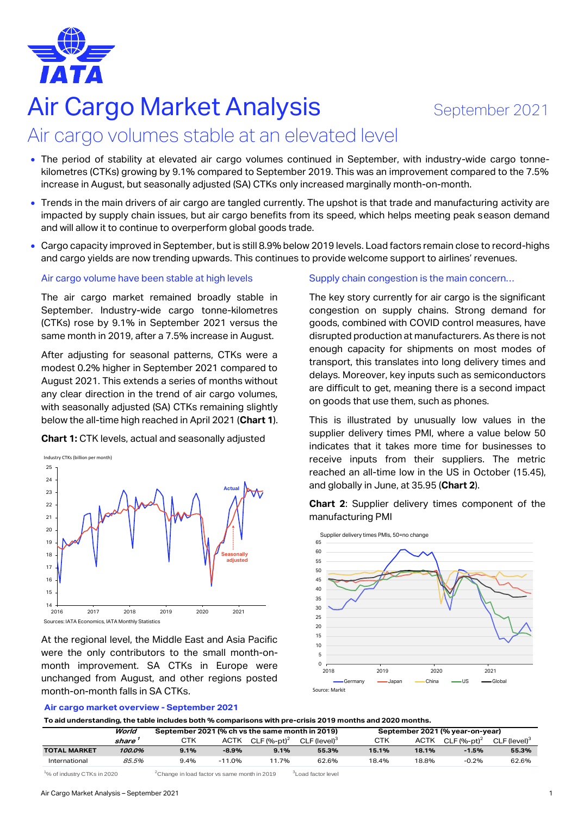

# Air Cargo Market Analysis September 2021

# Air cargo volumes stable at an elevated level

- The period of stability at elevated air cargo volumes continued in September, with industry-wide cargo tonnekilometres (CTKs) growing by 9.1% compared to September 2019. This was an improvement compared to the 7.5% increase in August, but seasonally adjusted (SA) CTKs only increased marginally month-on-month.
- Trends in the main drivers of air cargo are tangled currently. The upshot is that trade and manufacturing activity are impacted by supply chain issues, but air cargo benefits from its speed, which helps meeting peak season demand and will allow it to continue to overperform global goods trade.
- Cargo capacity improved in September, but is still 8.9% below 2019 levels. Load factors remain close to record-highs and cargo yields are now trending upwards. This continues to provide welcome support to airlines' revenues.

# Air cargo volume have been stable at high levels

The air cargo market remained broadly stable in September. Industry-wide cargo tonne-kilometres (CTKs) rose by 9.1% in September 2021 versus the same month in 2019, after a 7.5% increase in August.

After adjusting for seasonal patterns, CTKs were a modest 0.2% higher in September 2021 compared to August 2021. This extends a series of months without any clear direction in the trend of air cargo volumes, with seasonally adjusted (SA) CTKs remaining slightly below the all-time high reached in April 2021 (**Chart 1**).

**Chart 1:** CTK levels, actual and seasonally adjusted



At the regional level, the Middle East and Asia Pacific were the only contributors to the small month-onmonth improvement. SA CTKs in Europe were unchanged from August, and other regions posted month-on-month falls in SA CTKs.

#### **Air cargo market overview - September 2021**

Supply chain congestion is the main concern…

The key story currently for air cargo is the significant congestion on supply chains. Strong demand for goods, combined with COVID control measures, have disrupted production at manufacturers. As there is not enough capacity for shipments on most modes of transport, this translates into long delivery times and delays. Moreover, key inputs such as semiconductors are difficult to get, meaning there is a second impact on goods that use them, such as phones.

This is illustrated by unusually low values in the supplier delivery times PMI, where a value below 50 indicates that it takes more time for businesses to receive inputs from their suppliers. The metric reached an all-time low in the US in October (15.45), and globally in June, at 35.95 (**Chart 2**).

**Chart 2**: Supplier delivery times component of the manufacturing PMI



**To aid understanding, the table includes both % comparisons with pre-crisis 2019 months and 2020 months.**

|               | World  | September 2021 (% ch vs the same month in 2019) |             |                |                          | September 2021 (% year-on-year) |       |                           |                          |  |
|---------------|--------|-------------------------------------------------|-------------|----------------|--------------------------|---------------------------------|-------|---------------------------|--------------------------|--|
|               | share  | стк                                             | <b>ACTK</b> | CLF $(%-pt)^2$ | CLF (level) <sup>3</sup> | CTK                             | ACTK  | $CLF$ (%-pt) <sup>2</sup> | CLF (level) <sup>3</sup> |  |
| TOTAL MARKET  | 100.0% | 9.1%                                            | $-8.9%$     | 9.1%           | 55.3%                    | 15.1%                           | 18.1% | $-1.5%$                   | 55.3%                    |  |
| International | 85.5%  | 9.4%                                            | $-11.0%$    | 11.7%          | 62.6%                    | 18.4%                           | 18.8% | $-0.2%$                   | 62.6%                    |  |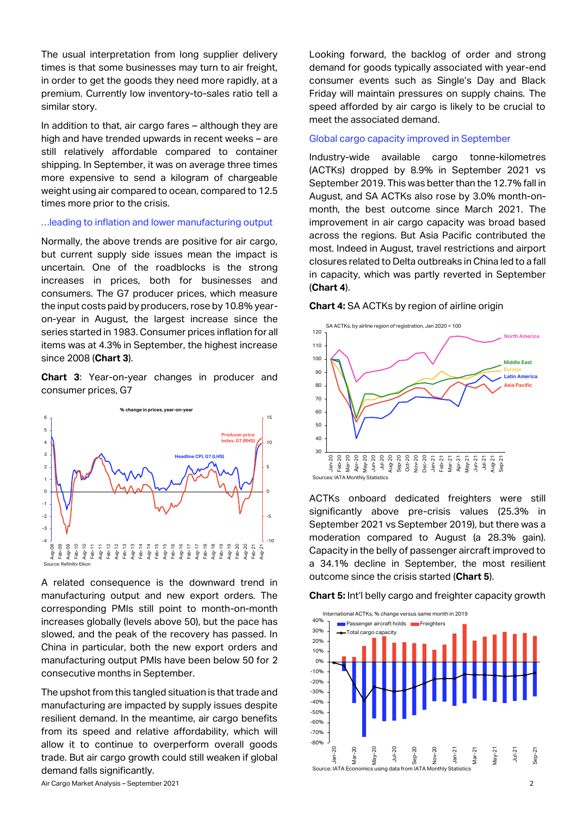The usual interpretation from long supplier delivery times is that some businesses may turn to air freight, in order to get the goods they need more rapidly, at a premium. Currently low inventory-to-sales ratio tell a similar story.

In addition to that, air cargo fares – although they are high and have trended upwards in recent weeks – are still relatively affordable compared to container shipping. In September, it was on average three times more expensive to send a kilogram of chargeable weight using air compared to ocean, compared to 12.5 times more prior to the crisis.

#### …leading to inflation and lower manufacturing output

Normally, the above trends are positive for air cargo, but current supply side issues mean the impact is uncertain. One of the roadblocks is the strong increases in prices, both for businesses and consumers. The G7 producer prices, which measure the input costs paid by producers, rose by 10.8% yearon-year in August, the largest increase since the series started in 1983. Consumer prices inflation for all items was at 4.3% in September, the highest increase since 2008 (**Chart 3**).

**Chart 3**: Year-on-year changes in producer and consumer prices, G7



A related consequence is the downward trend in manufacturing output and new export orders. The corresponding PMIs still point to month-on-month increases globally (levels above 50), but the pace has slowed, and the peak of the recovery has passed. In China in particular, both the new export orders and manufacturing output PMIs have been below 50 for 2 consecutive months in September.

The upshot from this tangled situation is that trade and manufacturing are impacted by supply issues despite resilient demand. In the meantime, air cargo benefits from its speed and relative affordability, which will allow it to continue to overperform overall goods trade. But air cargo growth could still weaken if global demand falls significantly.

Looking forward, the backlog of order and strong demand for goods typically associated with year-end consumer events such as Single's Day and Black Friday will maintain pressures on supply chains. The speed afforded by air cargo is likely to be crucial to meet the associated demand.

# Global cargo capacity improved in September

Industry-wide available cargo tonne-kilometres (ACTKs) dropped by 8.9% in September 2021 vs September 2019. This was better than the 12.7% fall in August, and SA ACTKs also rose by 3.0% month-onmonth, the best outcome since March 2021. The improvement in air cargo capacity was broad based across the regions. But Asia Pacific contributed the most. Indeed in August, travel restrictions and airport closures related to Delta outbreaks in China led to a fall in capacity, which was partly reverted in September (**Chart 4**).





ACTKs onboard dedicated freighters were still significantly above pre-crisis values (25.3% in September 2021 vs September 2019), but there was a moderation compared to August (a 28.3% gain). Capacity in the belly of passenger aircraft improved to a 34.1% decline in September, the most resilient outcome since the crisis started (**Chart 5**).

**Chart 5:** Int'l belly cargo and freighter capacity growth

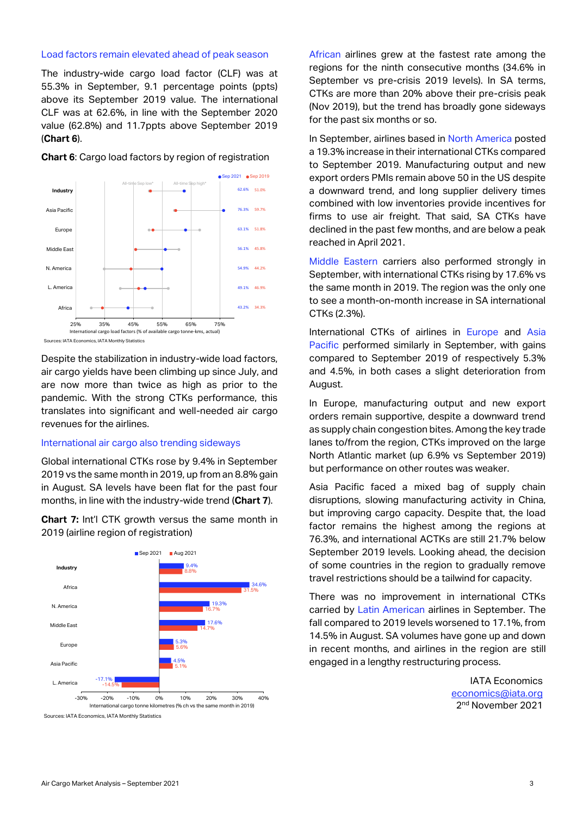# Load factors remain elevated ahead of peak season

The industry-wide cargo load factor (CLF) was at 55.3% in September, 9.1 percentage points (ppts) above its September 2019 value. The international CLF was at 62.6%, in line with the September 2020 value (62.8%) and 11.7ppts above September 2019 (**Chart 6**).



#### **Chart 6**: Cargo load factors by region of registration

Despite the stabilization in industry-wide load factors, air cargo yields have been climbing up since July, and are now more than twice as high as prior to the pandemic. With the strong CTKs performance, this translates into significant and well-needed air cargo revenues for the airlines.

# International air cargo also trending sideways

Global international CTKs rose by 9.4% in September 2019 vs the same month in 2019, up from an 8.8% gain in August. SA levels have been flat for the past four months, in line with the industry-wide trend (**Chart 7**).

**Chart 7:** Int'l CTK growth versus the same month in 2019 (airline region of registration)



African airlines grew at the fastest rate among the regions for the ninth consecutive months (34.6% in September vs pre-crisis 2019 levels). In SA terms, CTKs are more than 20% above their pre-crisis peak (Nov 2019), but the trend has broadly gone sideways for the past six months or so.

In September, airlines based in North America posted a 19.3% increase in their international CTKs compared to September 2019. Manufacturing output and new export orders PMIs remain above 50 in the US despite a downward trend, and long supplier delivery times combined with low inventories provide incentives for firms to use air freight. That said, SA CTKs have declined in the past few months, and are below a peak reached in April 2021.

Middle Eastern carriers also performed strongly in September, with international CTKs rising by 17.6% vs the same month in 2019. The region was the only one to see a month-on-month increase in SA international CTKs (2.3%).

International CTKs of airlines in Europe and Asia Pacific performed similarly in September, with gains compared to September 2019 of respectively 5.3% and 4.5%, in both cases a slight deterioration from August.

In Europe, manufacturing output and new export orders remain supportive, despite a downward trend as supply chain congestion bites. Among the key trade lanes to/from the region, CTKs improved on the large North Atlantic market (up 6.9% vs September 2019) but performance on other routes was weaker.

Asia Pacific faced a mixed bag of supply chain disruptions, slowing manufacturing activity in China, but improving cargo capacity. Despite that, the load factor remains the highest among the regions at 76.3%, and international ACTKs are still 21.7% below September 2019 levels. Looking ahead, the decision of some countries in the region to gradually remove travel restrictions should be a tailwind for capacity.

There was no improvement in international CTKs carried by Latin American airlines in September. The fall compared to 2019 levels worsened to 17.1%, from 14.5% in August. SA volumes have gone up and down in recent months, and airlines in the region are still engaged in a lengthy restructuring process.

> IATA Economics [economics@iata.org](mailto:economics@iata.org) 2 nd November 2021